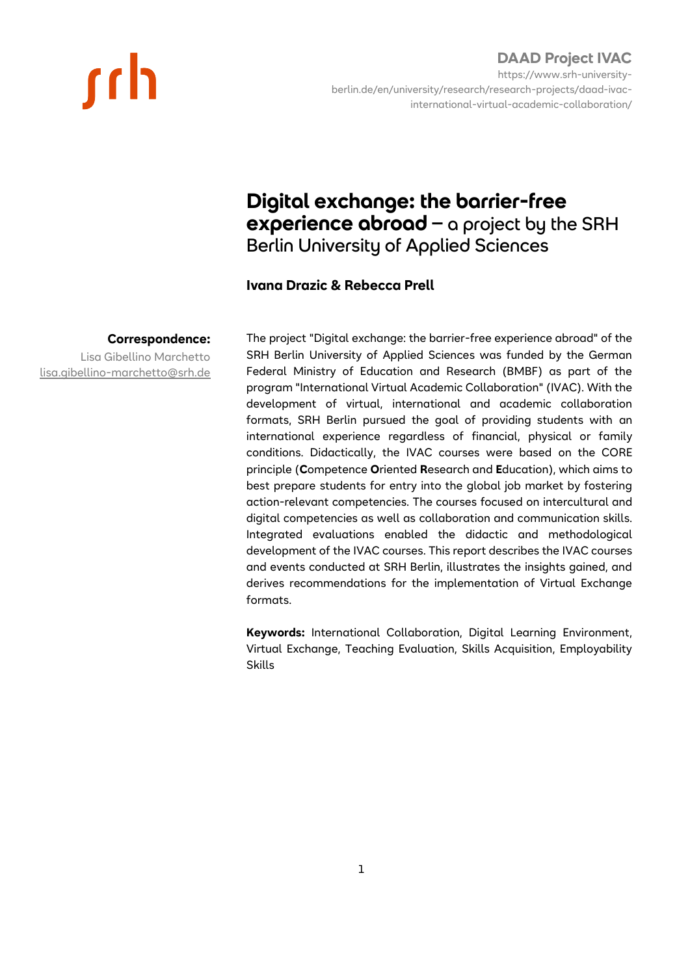# <u>rch</u>

### **DAAD Project IVAC** https://www.srh-universityberlin.de/en/university/research/research-projects/daad-ivacinternational-virtual-academic-collaboration/

## **Digital exchange: the barrier-free experience abroad** – a project by the SRH Berlin University of Applied Sciences

## **Ivana Drazic & Rebecca Prell**

### **Correspondence:**

Lisa Gibellino Marchetto lisa.gibellino-marchetto@srh.de The project "Digital exchange: the barrier-free experience abroad" of the SRH Berlin University of Applied Sciences was funded by the German Federal Ministry of Education and Research (BMBF) as part of the program "International Virtual Academic Collaboration" (IVAC). With the development of virtual, international and academic collaboration formats, SRH Berlin pursued the goal of providing students with an international experience regardless of financial, physical or family conditions. Didactically, the IVAC courses were based on the CORE principle (**C**ompetence **O**riented **R**esearch and **E**ducation), which aims to best prepare students for entry into the global job market by fostering action-relevant competencies. The courses focused on intercultural and digital competencies as well as collaboration and communication skills. Integrated evaluations enabled the didactic and methodological development of the IVAC courses. This report describes the IVAC courses and events conducted at SRH Berlin, illustrates the insights gained, and derives recommendations for the implementation of Virtual Exchange formats.

**Keywords:** International Collaboration, Digital Learning Environment, Virtual Exchange, Teaching Evaluation, Skills Acquisition, Employability Skills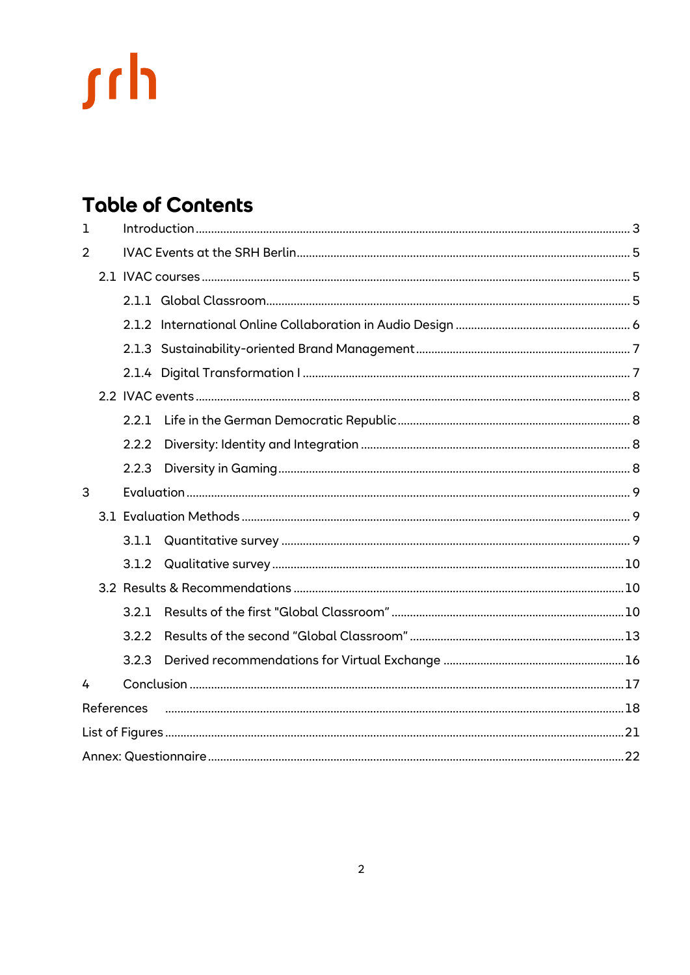# **Table of Contents**

| $\mathbf 1$    |  |       |  |  |  |  |  |
|----------------|--|-------|--|--|--|--|--|
| $\overline{2}$ |  |       |  |  |  |  |  |
|                |  |       |  |  |  |  |  |
|                |  |       |  |  |  |  |  |
|                |  |       |  |  |  |  |  |
|                |  |       |  |  |  |  |  |
|                |  |       |  |  |  |  |  |
|                |  |       |  |  |  |  |  |
|                |  | 2.2.1 |  |  |  |  |  |
|                |  | 2.2.2 |  |  |  |  |  |
|                |  | 2.2.3 |  |  |  |  |  |
| 3              |  |       |  |  |  |  |  |
|                |  |       |  |  |  |  |  |
|                |  | 3.1.1 |  |  |  |  |  |
|                |  |       |  |  |  |  |  |
|                |  |       |  |  |  |  |  |
|                |  | 3.2.1 |  |  |  |  |  |
|                |  | 3.2.2 |  |  |  |  |  |
|                |  | 3.2.3 |  |  |  |  |  |
| 4              |  |       |  |  |  |  |  |
| References     |  |       |  |  |  |  |  |
|                |  |       |  |  |  |  |  |
|                |  |       |  |  |  |  |  |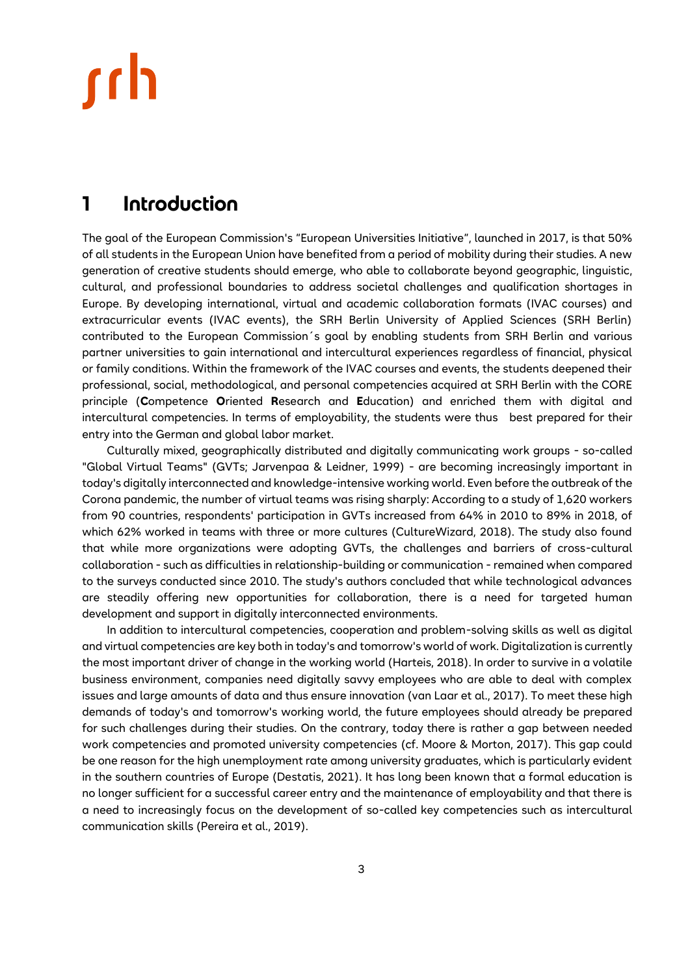## <span id="page-2-0"></span>**1 Introduction**

The goal of the European Commission's "European Universities Initiative", launched in 2017, is that 50% of all students in the European Union have benefited from a period of mobility during their studies. A new generation of creative students should emerge, who able to collaborate beyond geographic, linguistic, cultural, and professional boundaries to address societal challenges and qualification shortages in Europe. By developing international, virtual and academic collaboration formats (IVAC courses) and extracurricular events (IVAC events), the SRH Berlin University of Applied Sciences (SRH Berlin) contributed to the European Commission´s goal by enabling students from SRH Berlin and various partner universities to gain international and intercultural experiences regardless of financial, physical or family conditions. Within the framework of the IVAC courses and events, the students deepened their professional, social, methodological, and personal competencies acquired at SRH Berlin with the CORE principle (**C**ompetence **O**riented **R**esearch and **E**ducation) and enriched them with digital and intercultural competencies. In terms of employability, the students were thus best prepared for their entry into the German and global labor market.

Culturally mixed, geographically distributed and digitally communicating work groups - so-called "Global Virtual Teams" (GVTs; Jarvenpaa & Leidner, 1999) - are becoming increasingly important in today's digitally interconnected and knowledge-intensive working world. Even before the outbreak of the Corona pandemic, the number of virtual teams was rising sharply: According to a study of 1,620 workers from 90 countries, respondents' participation in GVTs increased from 64% in 2010 to 89% in 2018, of which 62% worked in teams with three or more cultures (CultureWizard, 2018). The study also found that while more organizations were adopting GVTs, the challenges and barriers of cross-cultural collaboration - such as difficulties in relationship-building or communication - remained when compared to the surveys conducted since 2010. The study's authors concluded that while technological advances are steadily offering new opportunities for collaboration, there is a need for targeted human development and support in digitally interconnected environments.

In addition to intercultural competencies, cooperation and problem-solving skills as well as digital and virtual competencies are key both in today's and tomorrow's world of work. Digitalization is currently the most important driver of change in the working world (Harteis, 2018). In order to survive in a volatile business environment, companies need digitally savvy employees who are able to deal with complex issues and large amounts of data and thus ensure innovation (van Laar et al., 2017). To meet these high demands of today's and tomorrow's working world, the future employees should already be prepared for such challenges during their studies. On the contrary, today there is rather a gap between needed work competencies and promoted university competencies (cf. Moore & Morton, 2017). This gap could be one reason for the high unemployment rate among university graduates, which is particularly evident in the southern countries of Europe (Destatis, 2021). It has long been known that a formal education is no longer sufficient for a successful career entry and the maintenance of employability and that there is a need to increasingly focus on the development of so-called key competencies such as intercultural communication skills (Pereira et al., 2019).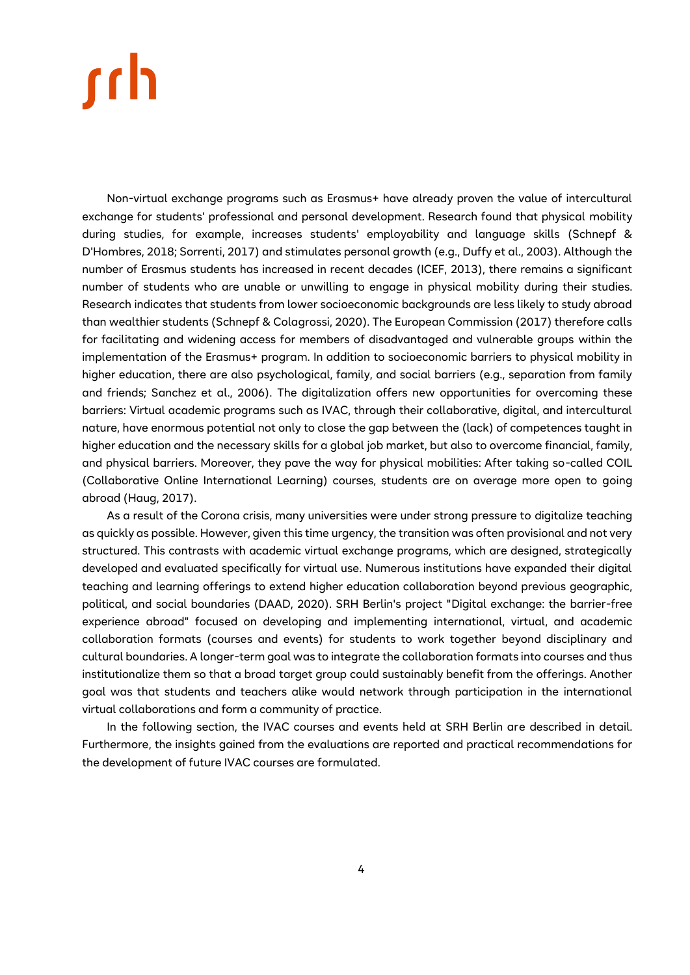Non-virtual exchange programs such as Erasmus+ have already proven the value of intercultural exchange for students' professional and personal development. Research found that physical mobility during studies, for example, increases students' employability and language skills (Schnepf & D'Hombres, 2018; Sorrenti, 2017) and stimulates personal growth (e.g., Duffy et al., 2003). Although the number of Erasmus students has increased in recent decades (ICEF, 2013), there remains a significant number of students who are unable or unwilling to engage in physical mobility during their studies. Research indicates that students from lower socioeconomic backgrounds are less likely to study abroad than wealthier students (Schnepf & Colagrossi, 2020). The European Commission (2017) therefore calls for facilitating and widening access for members of disadvantaged and vulnerable groups within the implementation of the Erasmus+ program. In addition to socioeconomic barriers to physical mobility in higher education, there are also psychological, family, and social barriers (e.g., separation from family and friends; Sanchez et al., 2006). The digitalization offers new opportunities for overcoming these barriers: Virtual academic programs such as IVAC, through their collaborative, digital, and intercultural nature, have enormous potential not only to close the gap between the (lack) of competences taught in higher education and the necessary skills for a global job market, but also to overcome financial, family, and physical barriers. Moreover, they pave the way for physical mobilities: After taking so-called COIL (Collaborative Online International Learning) courses, students are on average more open to going abroad (Haug, 2017).

As a result of the Corona crisis, many universities were under strong pressure to digitalize teaching as quickly as possible. However, given this time urgency, the transition was often provisional and not very structured. This contrasts with academic virtual exchange programs, which are designed, strategically developed and evaluated specifically for virtual use. Numerous institutions have expanded their digital teaching and learning offerings to extend higher education collaboration beyond previous geographic, political, and social boundaries (DAAD, 2020). SRH Berlin's project "Digital exchange: the barrier-free experience abroad" focused on developing and implementing international, virtual, and academic collaboration formats (courses and events) for students to work together beyond disciplinary and cultural boundaries. A longer-term goal was to integrate the collaboration formats into courses and thus institutionalize them so that a broad target group could sustainably benefit from the offerings. Another goal was that students and teachers alike would network through participation in the international virtual collaborations and form a community of practice.

In the following section, the IVAC courses and events held at SRH Berlin are described in detail. Furthermore, the insights gained from the evaluations are reported and practical recommendations for the development of future IVAC courses are formulated.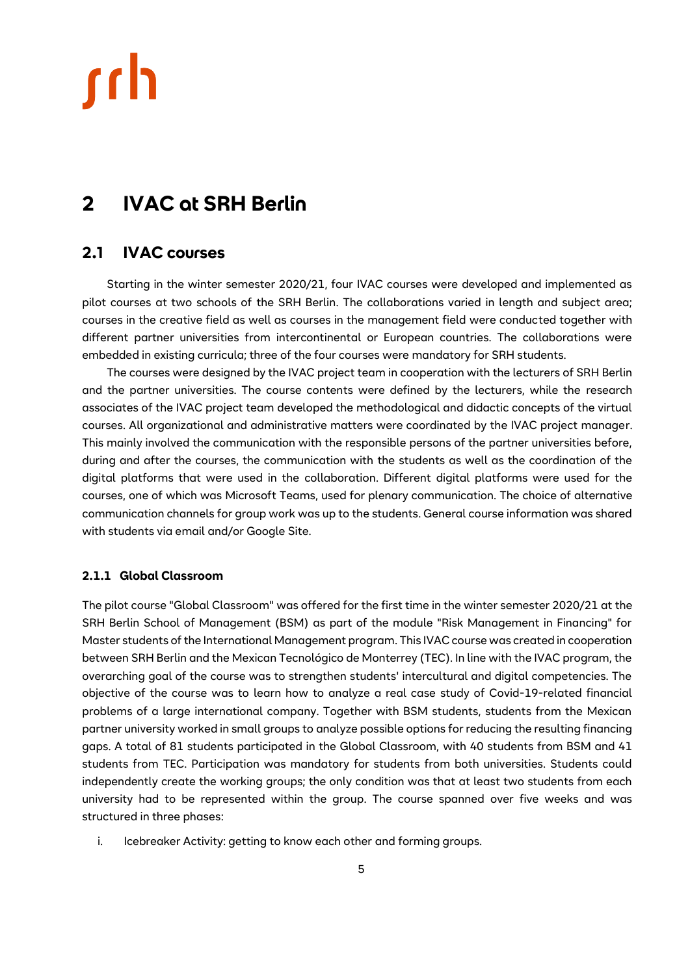## <span id="page-4-0"></span>**2 IVAC at SRH Berlin**

## <span id="page-4-1"></span>**2.1 IVAC courses**

Starting in the winter semester 2020/21, four IVAC courses were developed and implemented as pilot courses at two schools of the SRH Berlin. The collaborations varied in length and subject area; courses in the creative field as well as courses in the management field were conducted together with different partner universities from intercontinental or European countries. The collaborations were embedded in existing curricula; three of the four courses were mandatory for SRH students.

The courses were designed by the IVAC project team in cooperation with the lecturers of SRH Berlin and the partner universities. The course contents were defined by the lecturers, while the research associates of the IVAC project team developed the methodological and didactic concepts of the virtual courses. All organizational and administrative matters were coordinated by the IVAC project manager. This mainly involved the communication with the responsible persons of the partner universities before, during and after the courses, the communication with the students as well as the coordination of the digital platforms that were used in the collaboration. Different digital platforms were used for the courses, one of which was Microsoft Teams, used for plenary communication. The choice of alternative communication channels for group work was up to the students. General course information was shared with students via email and/or Google Site.

### <span id="page-4-2"></span>**2.1.1 Global Classroom**

The pilot course "Global Classroom" was offered for the first time in the winter semester 2020/21 at the SRH Berlin School of Management (BSM) as part of the module "Risk Management in Financing" for Master students of the International Management program. This IVAC course was created in cooperation between SRH Berlin and the Mexican Tecnológico de Monterrey (TEC). In line with the IVAC program, the overarching goal of the course was to strengthen students' intercultural and digital competencies. The objective of the course was to learn how to analyze a real case study of Covid-19-related financial problems of a large international company. Together with BSM students, students from the Mexican partner university worked in small groups to analyze possible options for reducing the resulting financing gaps. A total of 81 students participated in the Global Classroom, with 40 students from BSM and 41 students from TEC. Participation was mandatory for students from both universities. Students could independently create the working groups; the only condition was that at least two students from each university had to be represented within the group. The course spanned over five weeks and was structured in three phases:

i. Icebreaker Activity: getting to know each other and forming groups.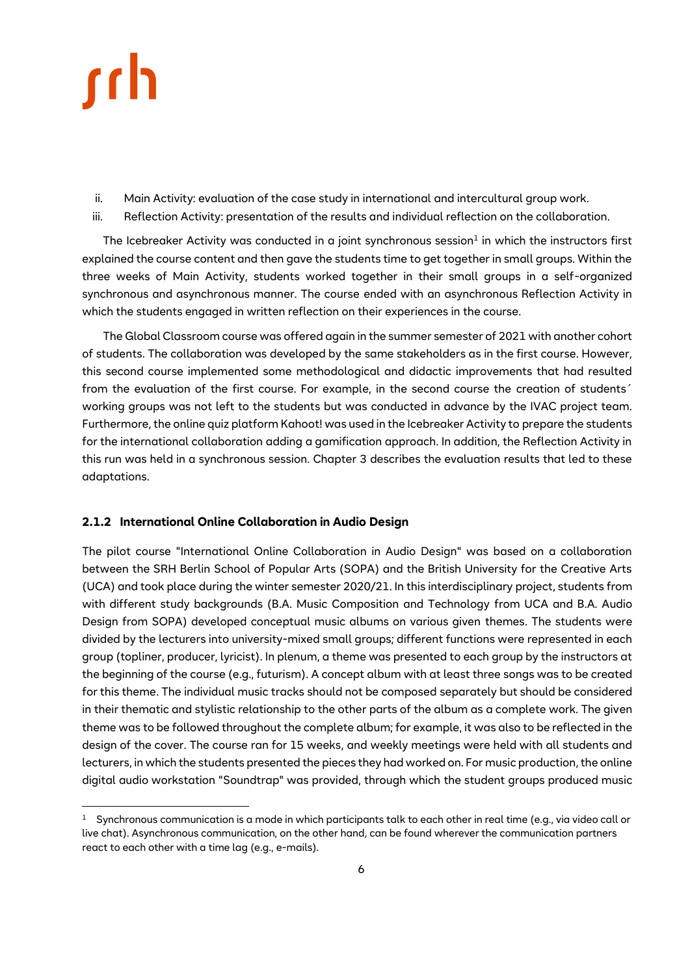

- ii. Main Activity: evaluation of the case study in international and intercultural group work.
- iii. Reflection Activity: presentation of the results and individual reflection on the collaboration.

The Icebreaker Activity was conducted in a joint synchronous session $^1$  in which the instructors first explained the course content and then gave the students time to get together in small groups. Within the three weeks of Main Activity, students worked together in their small groups in a self-organized synchronous and asynchronous manner. The course ended with an asynchronous Reflection Activity in which the students engaged in written reflection on their experiences in the course.

The Global Classroom course was offered again in the summer semester of 2021 with another cohort of students. The collaboration was developed by the same stakeholders as in the first course. However, this second course implemented some methodological and didactic improvements that had resulted from the evaluation of the first course. For example, in the second course the creation of students´ working groups was not left to the students but was conducted in advance by the IVAC project team. Furthermore, the online quiz platform Kahoot! was used in the Icebreaker Activity to prepare the students for the international collaboration adding a gamification approach. In addition, the Reflection Activity in this run was held in a synchronous session. Chapter 3 describes the evaluation results that led to these adaptations.

### <span id="page-5-0"></span>**2.1.2 International Online Collaboration in Audio Design**

The pilot course "International Online Collaboration in Audio Design" was based on a collaboration between the SRH Berlin School of Popular Arts (SOPA) and the British University for the Creative Arts (UCA) and took place during the winter semester 2020/21. In this interdisciplinary project, students from with different study backgrounds (B.A. Music Composition and Technology from UCA and B.A. Audio Design from SOPA) developed conceptual music albums on various given themes. The students were divided by the lecturers into university-mixed small groups; different functions were represented in each group (topliner, producer, lyricist). In plenum, a theme was presented to each group by the instructors at the beginning of the course (e.g., futurism). A concept album with at least three songs was to be created for this theme. The individual music tracks should not be composed separately but should be considered in their thematic and stylistic relationship to the other parts of the album as a complete work. The given theme was to be followed throughout the complete album; for example, it was also to be reflected in the design of the cover. The course ran for 15 weeks, and weekly meetings were held with all students and lecturers, in which the students presented the pieces they had worked on. For music production, the online digital audio workstation "Soundtrap" was provided, through which the student groups produced music

<sup>1</sup> Synchronous communication is a mode in which participants talk to each other in real time (e.g., via video call or live chat). Asynchronous communication, on the other hand, can be found wherever the communication partners react to each other with a time lag (e.g., e-mails).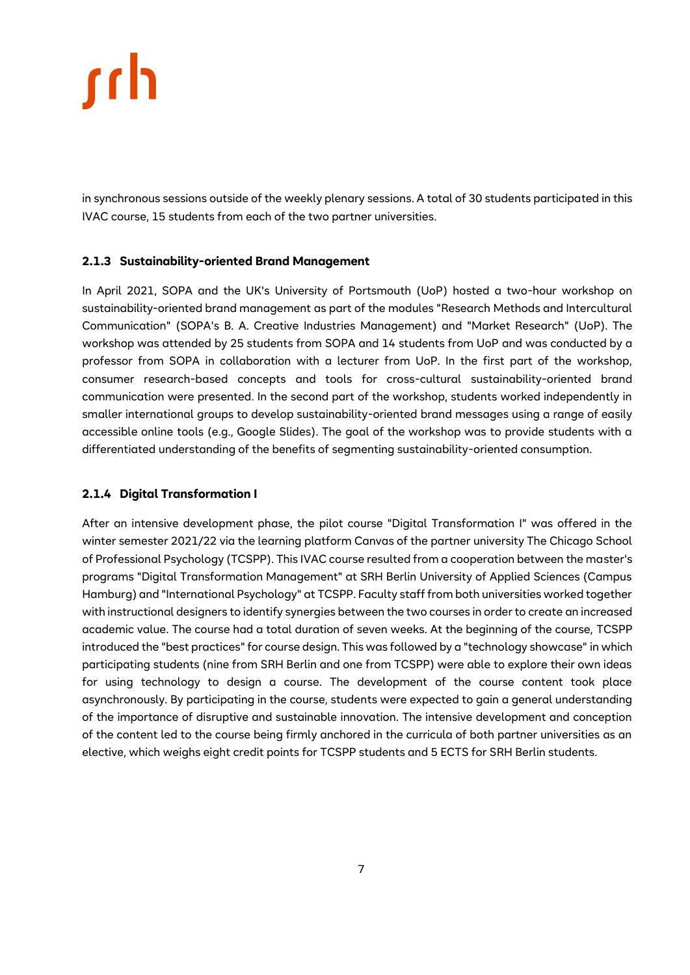in synchronous sessions outside of the weekly plenary sessions. A total of 30 students participated in this IVAC course, 15 students from each of the two partner universities.

### <span id="page-6-0"></span>**2.1.3 Sustainability-oriented Brand Management**

In April 2021, SOPA and the UK's University of Portsmouth (UoP) hosted a two-hour workshop on sustainability-oriented brand management as part of the modules "Research Methods and Intercultural Communication" (SOPA's B. A. Creative Industries Management) and "Market Research" (UoP). The workshop was attended by 25 students from SOPA and 14 students from UoP and was conducted by a professor from SOPA in collaboration with a lecturer from UoP. In the first part of the workshop, consumer research-based concepts and tools for cross-cultural sustainability-oriented brand communication were presented. In the second part of the workshop, students worked independently in smaller international groups to develop sustainability-oriented brand messages using a range of easily accessible online tools (e.g., Google Slides). The goal of the workshop was to provide students with a differentiated understanding of the benefits of segmenting sustainability-oriented consumption.

### <span id="page-6-1"></span>**2.1.4 Digital Transformation I**

After an intensive development phase, the pilot course "Digital Transformation I" was offered in the winter semester 2021/22 via the learning platform Canvas of the partner university The Chicago School of Professional Psychology (TCSPP). This IVAC course resulted from a cooperation between the master's programs "Digital Transformation Management" at SRH Berlin University of Applied Sciences (Campus Hamburg) and "International Psychology" at TCSPP. Faculty staff from both universities worked together with instructional designers to identify synergies between the two courses in order to create an increased academic value. The course had a total duration of seven weeks. At the beginning of the course, TCSPP introduced the "best practices" for course design. This was followed by a "technology showcase" in which participating students (nine from SRH Berlin and one from TCSPP) were able to explore their own ideas for using technology to design a course. The development of the course content took place asynchronously. By participating in the course, students were expected to gain a general understanding of the importance of disruptive and sustainable innovation. The intensive development and conception of the content led to the course being firmly anchored in the curricula of both partner universities as an elective, which weighs eight credit points for TCSPP students and 5 ECTS for SRH Berlin students.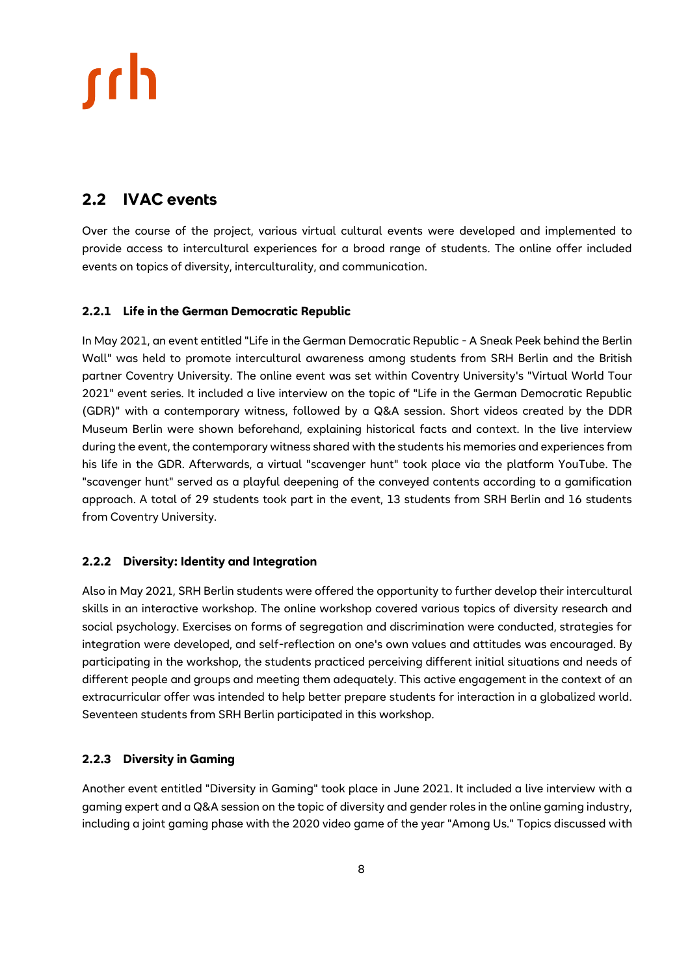## <span id="page-7-0"></span>**2.2 IVAC events**

Over the course of the project, various virtual cultural events were developed and implemented to provide access to intercultural experiences for a broad range of students. The online offer included events on topics of diversity, interculturality, and communication.

### <span id="page-7-1"></span>**2.2.1 Life in the German Democratic Republic**

In May 2021, an event entitled "Life in the German Democratic Republic - A Sneak Peek behind the Berlin Wall" was held to promote intercultural awareness among students from SRH Berlin and the British partner Coventry University. The online event was set within Coventry University's "Virtual World Tour 2021" event series. It included a live interview on the topic of "Life in the German Democratic Republic (GDR)" with a contemporary witness, followed by a Q&A session. Short videos created by the DDR Museum Berlin were shown beforehand, explaining historical facts and context. In the live interview during the event, the contemporary witness shared with the students his memories and experiences from his life in the GDR. Afterwards, a virtual "scavenger hunt" took place via the platform YouTube. The "scavenger hunt" served as a playful deepening of the conveyed contents according to a gamification approach. A total of 29 students took part in the event, 13 students from SRH Berlin and 16 students from Coventry University.

## <span id="page-7-2"></span>**2.2.2 Diversity: Identity and Integration**

Also in May 2021, SRH Berlin students were offered the opportunity to further develop their intercultural skills in an interactive workshop. The online workshop covered various topics of diversity research and social psychology. Exercises on forms of segregation and discrimination were conducted, strategies for integration were developed, and self-reflection on one's own values and attitudes was encouraged. By participating in the workshop, the students practiced perceiving different initial situations and needs of different people and groups and meeting them adequately. This active engagement in the context of an extracurricular offer was intended to help better prepare students for interaction in a globalized world. Seventeen students from SRH Berlin participated in this workshop.

## <span id="page-7-3"></span>**2.2.3 Diversity in Gaming**

Another event entitled "Diversity in Gaming" took place in June 2021. It included a live interview with a gaming expert and a Q&A session on the topic of diversity and gender roles in the online gaming industry, including a joint gaming phase with the 2020 video game of the year "Among Us." Topics discussed with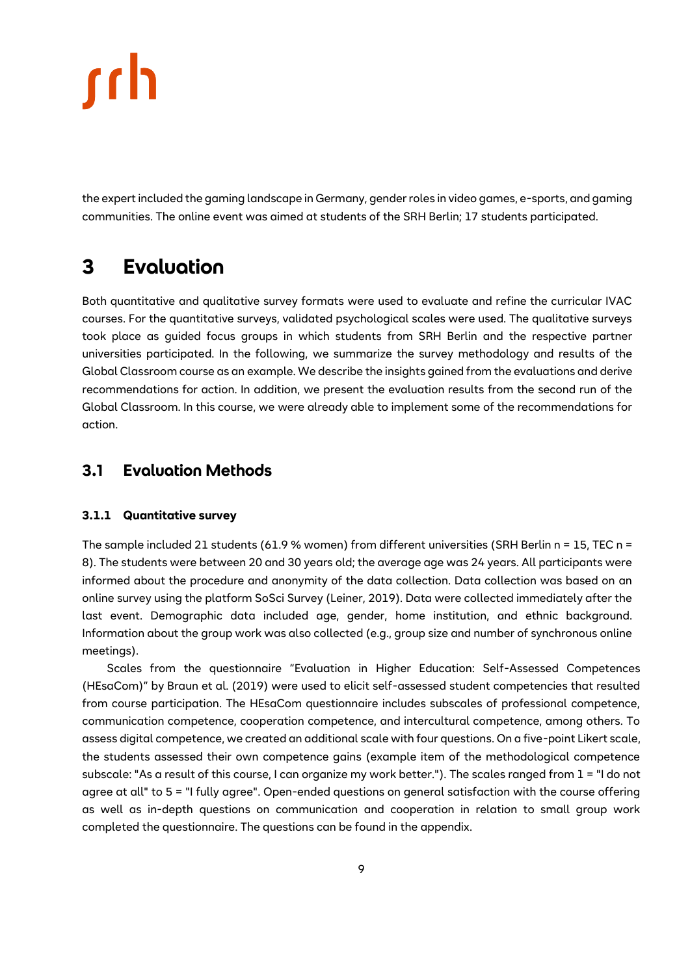the expert included the gaming landscape in Germany, gender roles in video games, e-sports, and gaming communities. The online event was aimed at students of the SRH Berlin; 17 students participated.

## <span id="page-8-0"></span>**3 Evaluation**

Both quantitative and qualitative survey formats were used to evaluate and refine the curricular IVAC courses. For the quantitative surveys, validated psychological scales were used. The qualitative surveys took place as guided focus groups in which students from SRH Berlin and the respective partner universities participated. In the following, we summarize the survey methodology and results of the Global Classroom course as an example. We describe the insights gained from the evaluations and derive recommendations for action. In addition, we present the evaluation results from the second run of the Global Classroom. In this course, we were already able to implement some of the recommendations for action.

## <span id="page-8-1"></span>**3.1 Evaluation Methods**

### <span id="page-8-2"></span>**3.1.1 Quantitative survey**

The sample included 21 students (61.9 % women) from different universities (SRH Berlin n = 15, TEC n = 8). The students were between 20 and 30 years old; the average age was 24 years. All participants were informed about the procedure and anonymity of the data collection. Data collection was based on an online survey using the platform SoSci Survey (Leiner, 2019). Data were collected immediately after the last event. Demographic data included age, gender, home institution, and ethnic background. Information about the group work was also collected (e.g., group size and number of synchronous online meetings).

Scales from the questionnaire "Evaluation in Higher Education: Self-Assessed Competences (HEsaCom)" by Braun et al. (2019) were used to elicit self-assessed student competencies that resulted from course participation. The HEsaCom questionnaire includes subscales of professional competence, communication competence, cooperation competence, and intercultural competence, among others. To assess digital competence, we created an additional scale with four questions. On a five-point Likert scale, the students assessed their own competence gains (example item of the methodological competence subscale: "As a result of this course, I can organize my work better."). The scales ranged from 1 = "I do not agree at all" to 5 = "I fully agree". Open-ended questions on general satisfaction with the course offering as well as in-depth questions on communication and cooperation in relation to small group work completed the questionnaire. The questions can be found in the appendix.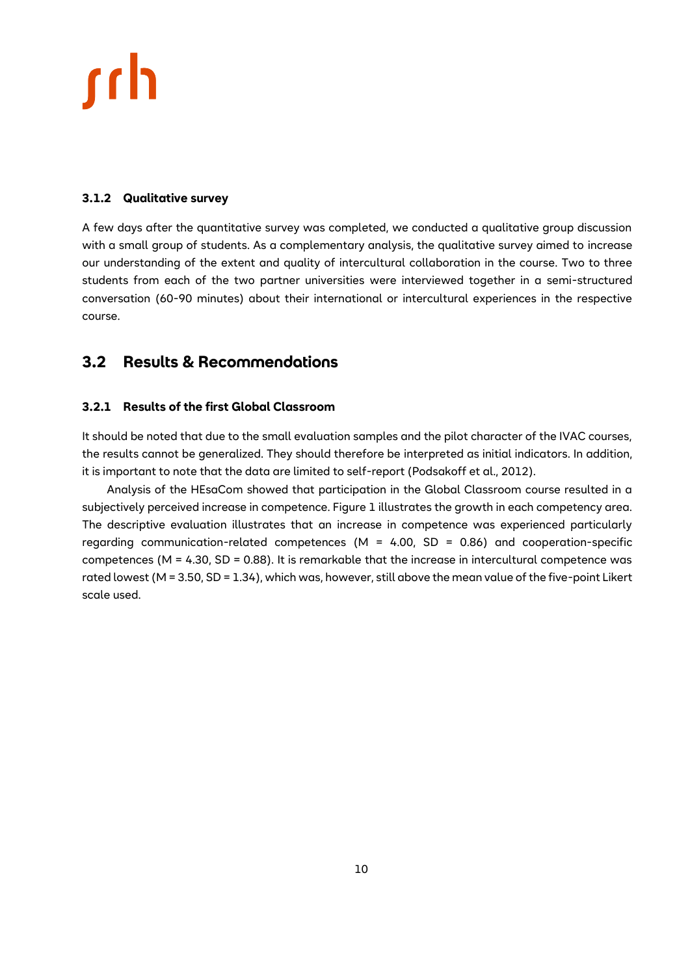### <span id="page-9-0"></span>**3.1.2 Qualitative survey**

A few days after the quantitative survey was completed, we conducted a qualitative group discussion with a small group of students. As a complementary analysis, the qualitative survey aimed to increase our understanding of the extent and quality of intercultural collaboration in the course. Two to three students from each of the two partner universities were interviewed together in a semi-structured conversation (60-90 minutes) about their international or intercultural experiences in the respective course.

## <span id="page-9-1"></span>**3.2 Results & Recommendations**

### <span id="page-9-2"></span>**3.2.1 Results of the first Global Classroom**

It should be noted that due to the small evaluation samples and the pilot character of the IVAC courses, the results cannot be generalized. They should therefore be interpreted as initial indicators. In addition, it is important to note that the data are limited to self-report (Podsakoff et al., 2012).

Analysis of the HEsaCom showed that participation in the Global Classroom course resulted in a subjectively perceived increase in competence. Figure 1 illustrates the growth in each competency area. The descriptive evaluation illustrates that an increase in competence was experienced particularly regarding communication-related competences ( $M = 4.00$ , SD = 0.86) and cooperation-specific competences (M = 4.30, SD = 0.88). It is remarkable that the increase in intercultural competence was rated lowest (M = 3.50, SD = 1.34), which was, however, still above the mean value of the five-point Likert scale used.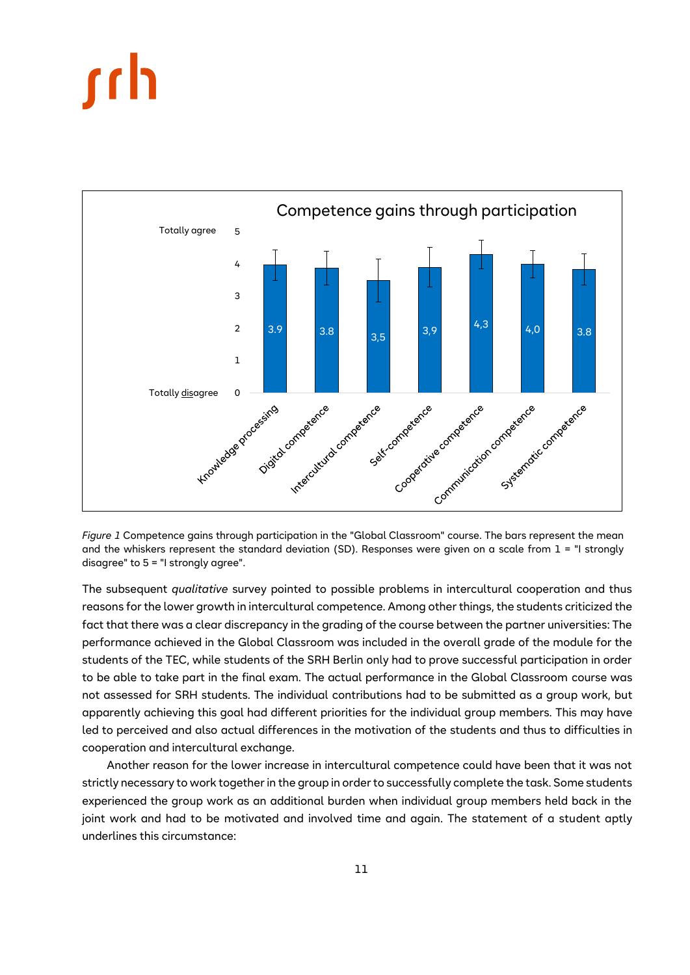

<span id="page-10-0"></span>*Figure 1* Competence gains through participation in the "Global Classroom" course. The bars represent the mean and the whiskers represent the standard deviation (SD). Responses were given on a scale from  $1 =$  "I strongly disagree" to 5 = "I strongly agree".

The subsequent *qualitative* survey pointed to possible problems in intercultural cooperation and thus reasons for the lower growth in intercultural competence. Among other things, the students criticized the fact that there was a clear discrepancy in the grading of the course between the partner universities: The performance achieved in the Global Classroom was included in the overall grade of the module for the students of the TEC, while students of the SRH Berlin only had to prove successful participation in order to be able to take part in the final exam. The actual performance in the Global Classroom course was not assessed for SRH students. The individual contributions had to be submitted as a group work, but apparently achieving this goal had different priorities for the individual group members. This may have led to perceived and also actual differences in the motivation of the students and thus to difficulties in cooperation and intercultural exchange.

Another reason for the lower increase in intercultural competence could have been that it was not strictly necessary to work together in the group in order to successfully complete the task. Some students experienced the group work as an additional burden when individual group members held back in the joint work and had to be motivated and involved time and again. The statement of a student aptly underlines this circumstance: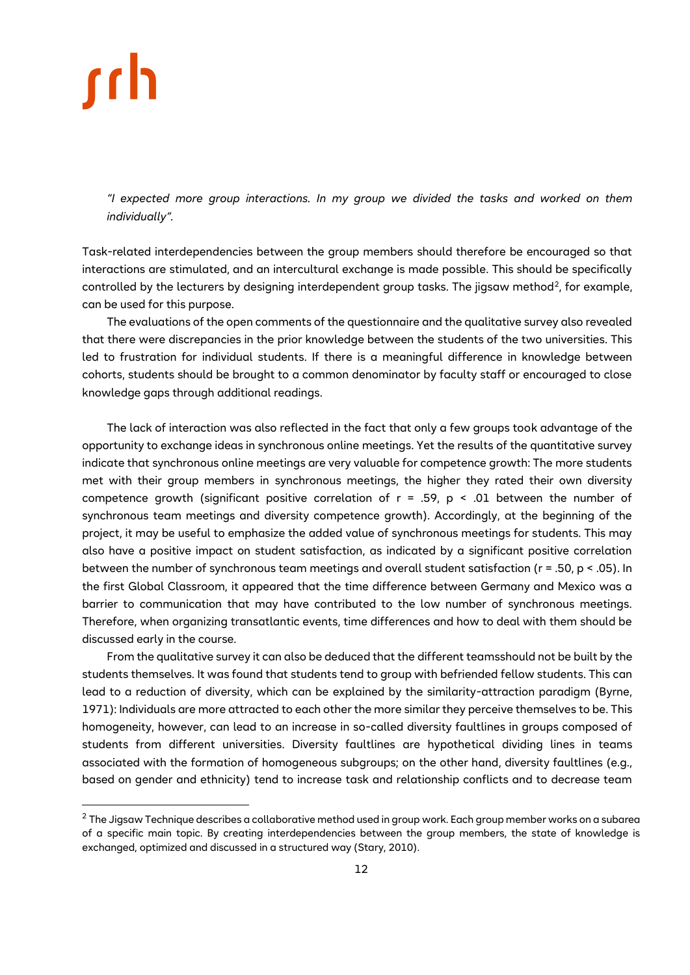*"I expected more group interactions. In my group we divided the tasks and worked on them individually".*

Task-related interdependencies between the group members should therefore be encouraged so that interactions are stimulated, and an intercultural exchange is made possible. This should be specifically controlled by the lecturers by designing interdependent group tasks. The jigsaw method<sup>2</sup>, for example, can be used for this purpose.

The evaluations of the open comments of the questionnaire and the qualitative survey also revealed that there were discrepancies in the prior knowledge between the students of the two universities. This led to frustration for individual students. If there is a meaningful difference in knowledge between cohorts, students should be brought to a common denominator by faculty staff or encouraged to close knowledge gaps through additional readings.

The lack of interaction was also reflected in the fact that only a few groups took advantage of the opportunity to exchange ideas in synchronous online meetings. Yet the results of the quantitative survey indicate that synchronous online meetings are very valuable for competence growth: The more students met with their group members in synchronous meetings, the higher they rated their own diversity competence growth (significant positive correlation of  $r = .59$ ,  $p < .01$  between the number of synchronous team meetings and diversity competence growth). Accordingly, at the beginning of the project, it may be useful to emphasize the added value of synchronous meetings for students. This may also have a positive impact on student satisfaction, as indicated by a significant positive correlation between the number of synchronous team meetings and overall student satisfaction (r = .50, p < .05). In the first Global Classroom, it appeared that the time difference between Germany and Mexico was a barrier to communication that may have contributed to the low number of synchronous meetings. Therefore, when organizing transatlantic events, time differences and how to deal with them should be discussed early in the course.

From the qualitative survey it can also be deduced that the different teamsshould not be built by the students themselves. It was found that students tend to group with befriended fellow students. This can lead to a reduction of diversity, which can be explained by the similarity-attraction paradigm (Byrne, 1971): Individuals are more attracted to each other the more similar they perceive themselves to be. This homogeneity, however, can lead to an increase in so-called diversity faultlines in groups composed of students from different universities. Diversity faultlines are hypothetical dividing lines in teams associated with the formation of homogeneous subgroups; on the other hand, diversity faultlines (e.g., based on gender and ethnicity) tend to increase task and relationship conflicts and to decrease team

 $^2$  The Jigsaw Technique describes a collaborative method used in group work. Each group member works on a subarea of a specific main topic. By creating interdependencies between the group members, the state of knowledge is exchanged, optimized and discussed in a structured way (Stary, 2010).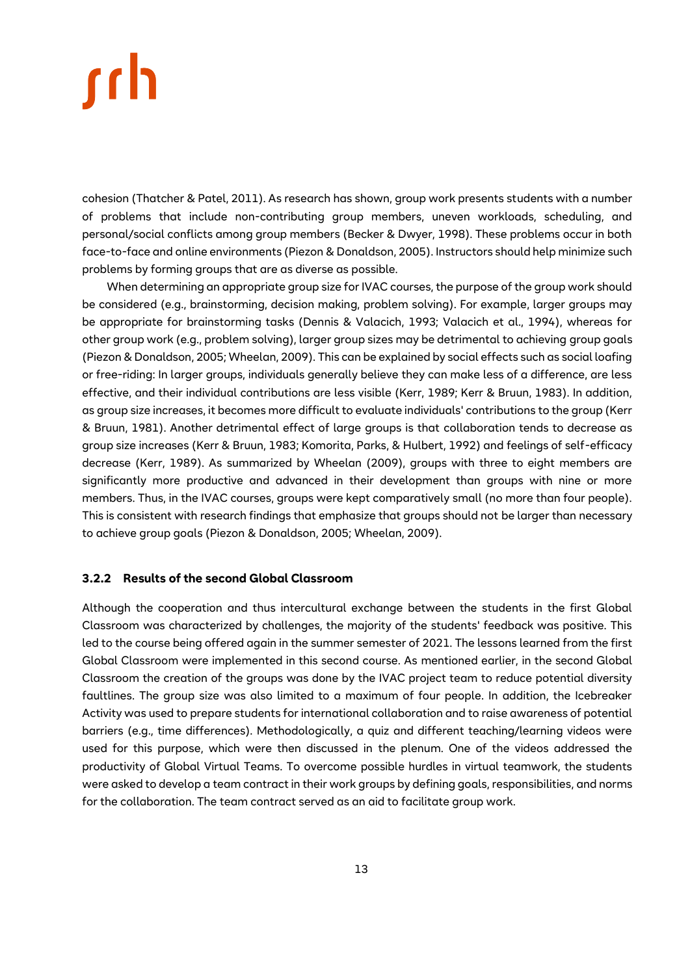cohesion (Thatcher & Patel, 2011). As research has shown, group work presents students with a number of problems that include non-contributing group members, uneven workloads, scheduling, and personal/social conflicts among group members (Becker & Dwyer, 1998). These problems occur in both face-to-face and online environments (Piezon & Donaldson, 2005). Instructors should help minimize such problems by forming groups that are as diverse as possible.

When determining an appropriate group size for IVAC courses, the purpose of the group work should be considered (e.g., brainstorming, decision making, problem solving). For example, larger groups may be appropriate for brainstorming tasks (Dennis & Valacich, 1993; Valacich et al., 1994), whereas for other group work (e.g., problem solving), larger group sizes may be detrimental to achieving group goals (Piezon & Donaldson, 2005; Wheelan, 2009). This can be explained by social effects such as social loafing or free-riding: In larger groups, individuals generally believe they can make less of a difference, are less effective, and their individual contributions are less visible (Kerr, 1989; Kerr & Bruun, 1983). In addition, as group size increases, it becomes more difficult to evaluate individuals' contributions to the group (Kerr & Bruun, 1981). Another detrimental effect of large groups is that collaboration tends to decrease as group size increases (Kerr & Bruun, 1983; Komorita, Parks, & Hulbert, 1992) and feelings of self-efficacy decrease (Kerr, 1989). As summarized by Wheelan (2009), groups with three to eight members are significantly more productive and advanced in their development than groups with nine or more members. Thus, in the IVAC courses, groups were kept comparatively small (no more than four people). This is consistent with research findings that emphasize that groups should not be larger than necessary to achieve group goals (Piezon & Donaldson, 2005; Wheelan, 2009).

### <span id="page-12-0"></span>**3.2.2 Results of the second Global Classroom**

Although the cooperation and thus intercultural exchange between the students in the first Global Classroom was characterized by challenges, the majority of the students' feedback was positive. This led to the course being offered again in the summer semester of 2021. The lessons learned from the first Global Classroom were implemented in this second course. As mentioned earlier, in the second Global Classroom the creation of the groups was done by the IVAC project team to reduce potential diversity faultlines. The group size was also limited to a maximum of four people. In addition, the Icebreaker Activity was used to prepare students for international collaboration and to raise awareness of potential barriers (e.g., time differences). Methodologically, a quiz and different teaching/learning videos were used for this purpose, which were then discussed in the plenum. One of the videos addressed the productivity of Global Virtual Teams. To overcome possible hurdles in virtual teamwork, the students were asked to develop a team contract in their work groups by defining goals, responsibilities, and norms for the collaboration. The team contract served as an aid to facilitate group work.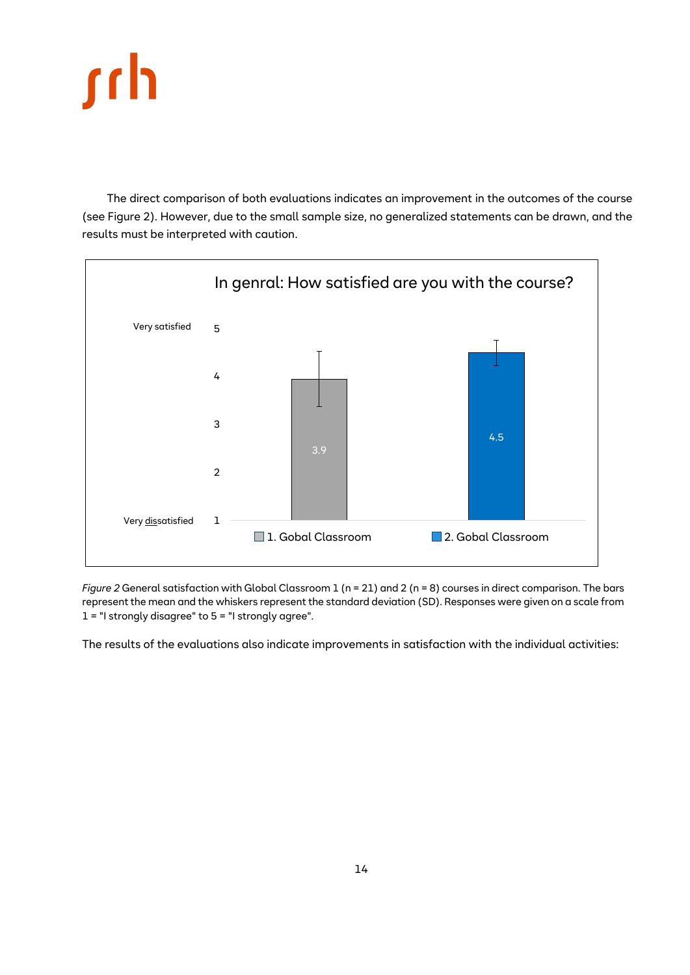

The direct comparison of both evaluations indicates an improvement in the outcomes of the course (see Figure 2). However, due to the small sample size, no generalized statements can be drawn, and the results must be interpreted with caution.



<span id="page-13-0"></span>*Figure* 2 General satisfaction with Global Classroom 1 (n = 21) and 2 (n = 8) courses in direct comparison. The bars represent the mean and the whiskers represent the standard deviation (SD). Responses were given on a scale from  $1 =$  "I strongly disagree" to 5 = "I strongly agree".

The results of the evaluations also indicate improvements in satisfaction with the individual activities: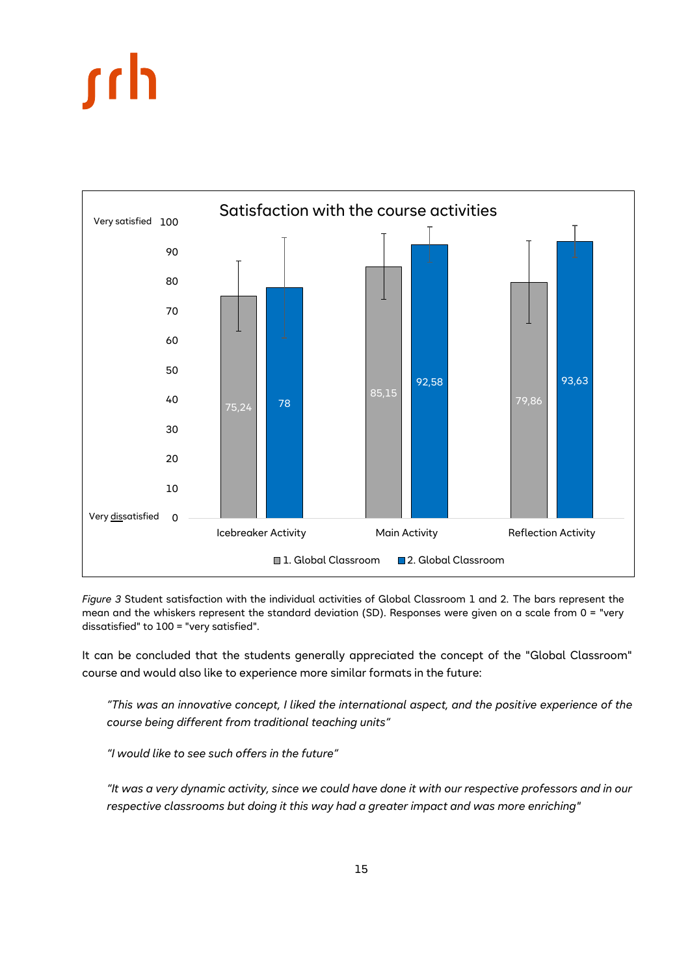<span id="page-14-0"></span>

*Figure 3* Student satisfaction with the individual activities of Global Classroom 1 and 2. The bars represent the mean and the whiskers represent the standard deviation (SD). Responses were given on a scale from 0 = "very dissatisfied" to 100 = "very satisfied".

It can be concluded that the students generally appreciated the concept of the "Global Classroom" course and would also like to experience more similar formats in the future:

*"This was an innovative concept, I liked the international aspect, and the positive experience of the course being different from traditional teaching units"*

*"I would like to see such offers in the future"*

*"It was a very dynamic activity, since we could have done it with our respective professors and in our respective classrooms but doing it this way had a greater impact and was more enriching"*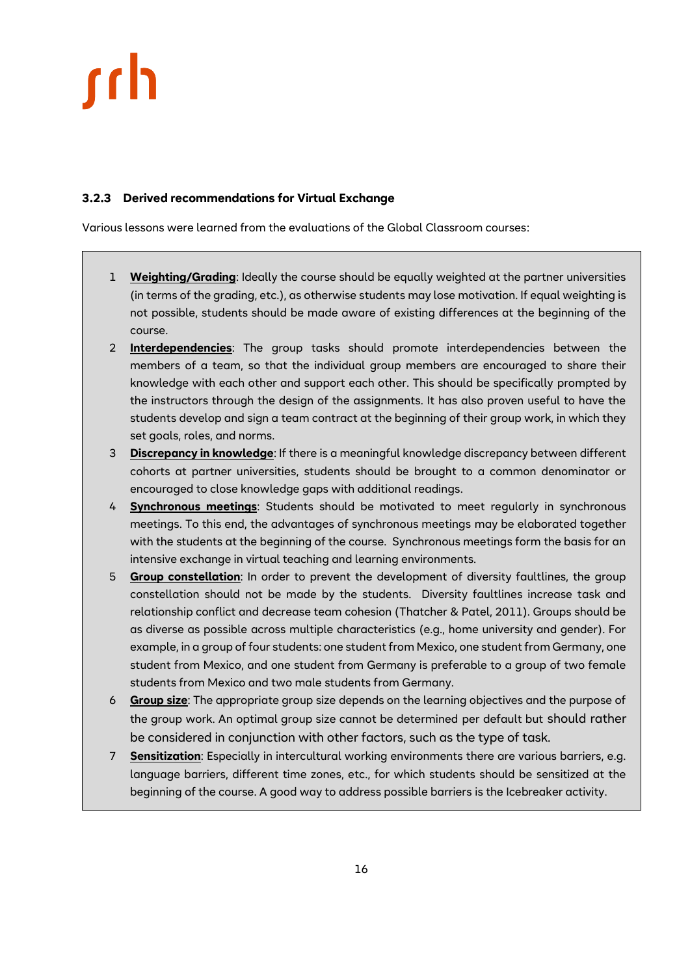### <span id="page-15-0"></span>**3.2.3 Derived recommendations for Virtual Exchange**

Various lessons were learned from the evaluations of the Global Classroom courses:

- 1 **Weighting/Grading**: Ideally the course should be equally weighted at the partner universities (in terms of the grading, etc.), as otherwise students may lose motivation. If equal weighting is not possible, students should be made aware of existing differences at the beginning of the course.
- 2 **Interdependencies**: The group tasks should promote interdependencies between the members of a team, so that the individual group members are encouraged to share their knowledge with each other and support each other. This should be specifically prompted by the instructors through the design of the assignments. It has also proven useful to have the students develop and sign a team contract at the beginning of their group work, in which they set goals, roles, and norms.
- 3 **Discrepancy in knowledge**: If there is a meaningful knowledge discrepancy between different cohorts at partner universities, students should be brought to a common denominator or encouraged to close knowledge gaps with additional readings.
- 4 **Synchronous meetings**: Students should be motivated to meet regularly in synchronous meetings. To this end, the advantages of synchronous meetings may be elaborated together with the students at the beginning of the course. Synchronous meetings form the basis for an intensive exchange in virtual teaching and learning environments.
- 5 **Group constellation**: In order to prevent the development of diversity faultlines, the group constellation should not be made by the students. Diversity faultlines increase task and relationship conflict and decrease team cohesion (Thatcher & Patel, 2011). Groups should be as diverse as possible across multiple characteristics (e.g., home university and gender). For example, in a group of four students: one student from Mexico, one student from Germany, one student from Mexico, and one student from Germany is preferable to a group of two female students from Mexico and two male students from Germany.
- 6 **Group size**: The appropriate group size depends on the learning objectives and the purpose of the group work. An optimal group size cannot be determined per default but should rather be considered in conjunction with other factors, such as the type of task.
- 7 **Sensitization**: Especially in intercultural working environments there are various barriers, e.g. language barriers, different time zones, etc., for which students should be sensitized at the beginning of the course. A good way to address possible barriers is the Icebreaker activity.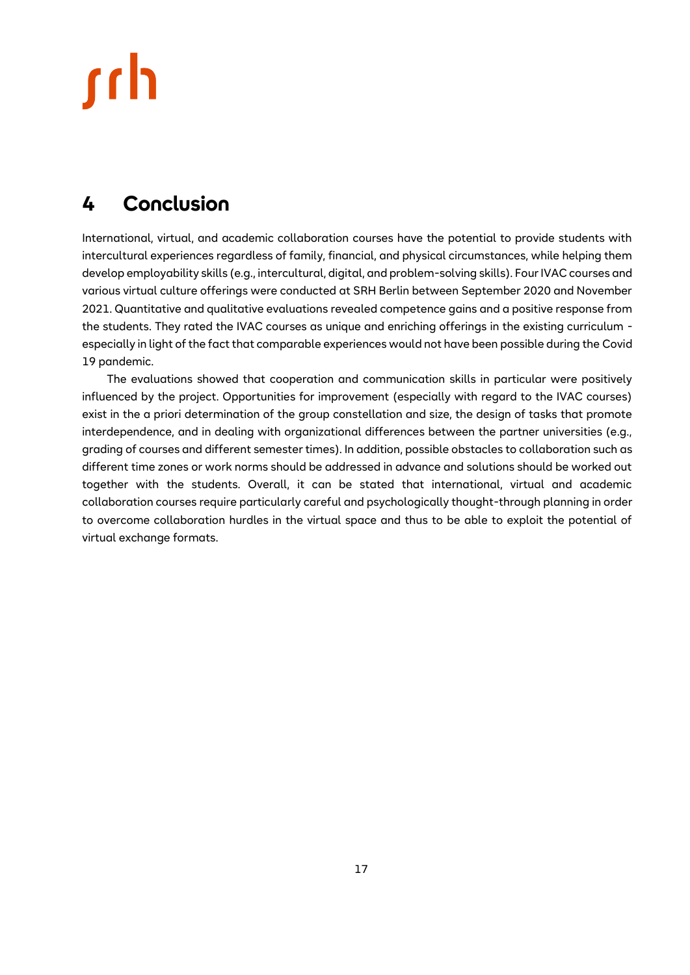## <span id="page-16-0"></span>**4 Conclusion**

International, virtual, and academic collaboration courses have the potential to provide students with intercultural experiences regardless of family, financial, and physical circumstances, while helping them develop employability skills (e.g., intercultural, digital, and problem-solving skills). Four IVAC courses and various virtual culture offerings were conducted at SRH Berlin between September 2020 and November 2021. Quantitative and qualitative evaluations revealed competence gains and a positive response from the students. They rated the IVAC courses as unique and enriching offerings in the existing curriculum especially in light of the fact that comparable experiences would not have been possible during the Covid 19 pandemic.

<span id="page-16-1"></span>The evaluations showed that cooperation and communication skills in particular were positively influenced by the project. Opportunities for improvement (especially with regard to the IVAC courses) exist in the a priori determination of the group constellation and size, the design of tasks that promote interdependence, and in dealing with organizational differences between the partner universities (e.g., grading of courses and different semester times). In addition, possible obstacles to collaboration such as different time zones or work norms should be addressed in advance and solutions should be worked out together with the students. Overall, it can be stated that international, virtual and academic collaboration courses require particularly careful and psychologically thought-through planning in order to overcome collaboration hurdles in the virtual space and thus to be able to exploit the potential of virtual exchange formats.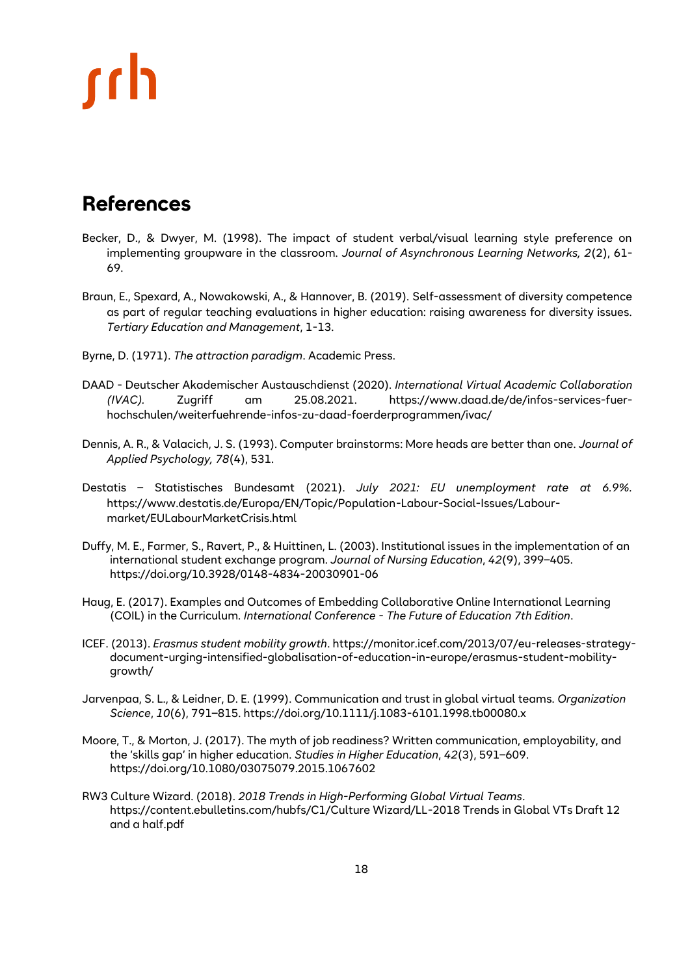## **References**

- Becker, D., & Dwyer, M. (1998). The impact of student verbal/visual learning style preference on implementing groupware in the classroom. *Journal of Asynchronous Learning Networks, 2*(2), 61- 69.
- Braun, E., Spexard, A., Nowakowski, A., & Hannover, B. (2019). Self-assessment of diversity competence as part of regular teaching evaluations in higher education: raising awareness for diversity issues. *Tertiary Education and Management*, 1-13.
- Byrne, D. (1971). *The attraction paradigm*. Academic Press.
- DAAD Deutscher Akademischer Austauschdienst (2020). *International Virtual Academic Collaboration (IVAC).* Zugriff am 25.08.2021. https://www.daad.de/de/infos-services-fuerhochschulen/weiterfuehrende-infos-zu-daad-foerderprogrammen/ivac/
- Dennis, A. R., & Valacich, J. S. (1993). Computer brainstorms: More heads are better than one. *Journal of Applied Psychology, 78*(4), 531.
- Destatis Statistisches Bundesamt (2021). *July 2021: EU unemployment rate at 6.9%.* https://www.destatis.de/Europa/EN/Topic/Population-Labour-Social-Issues/Labourmarket/EULabourMarketCrisis.html
- Duffy, M. E., Farmer, S., Ravert, P., & Huittinen, L. (2003). Institutional issues in the implementation of an international student exchange program. *Journal of Nursing Education*, *42*(9), 399–405. https://doi.org/10.3928/0148-4834-20030901-06
- Haug, E. (2017). Examples and Outcomes of Embedding Collaborative Online International Learning (COIL) in the Curriculum. *International Conference - The Future of Education 7th Edition*.
- ICEF. (2013). *Erasmus student mobility growth*. https://monitor.icef.com/2013/07/eu-releases-strategydocument-urging-intensified-globalisation-of-education-in-europe/erasmus-student-mobilitygrowth/
- Jarvenpaa, S. L., & Leidner, D. E. (1999). Communication and trust in global virtual teams. *Organization Science*, *10*(6), 791–815. https://doi.org/10.1111/j.1083-6101.1998.tb00080.x
- Moore, T., & Morton, J. (2017). The myth of job readiness? Written communication, employability, and the 'skills gap' in higher education. *Studies in Higher Education*, *42*(3), 591–609. https://doi.org/10.1080/03075079.2015.1067602
- RW3 Culture Wizard. (2018). *2018 Trends in High-Performing Global Virtual Teams*. https://content.ebulletins.com/hubfs/C1/Culture Wizard/LL-2018 Trends in Global VTs Draft 12 and a half.pdf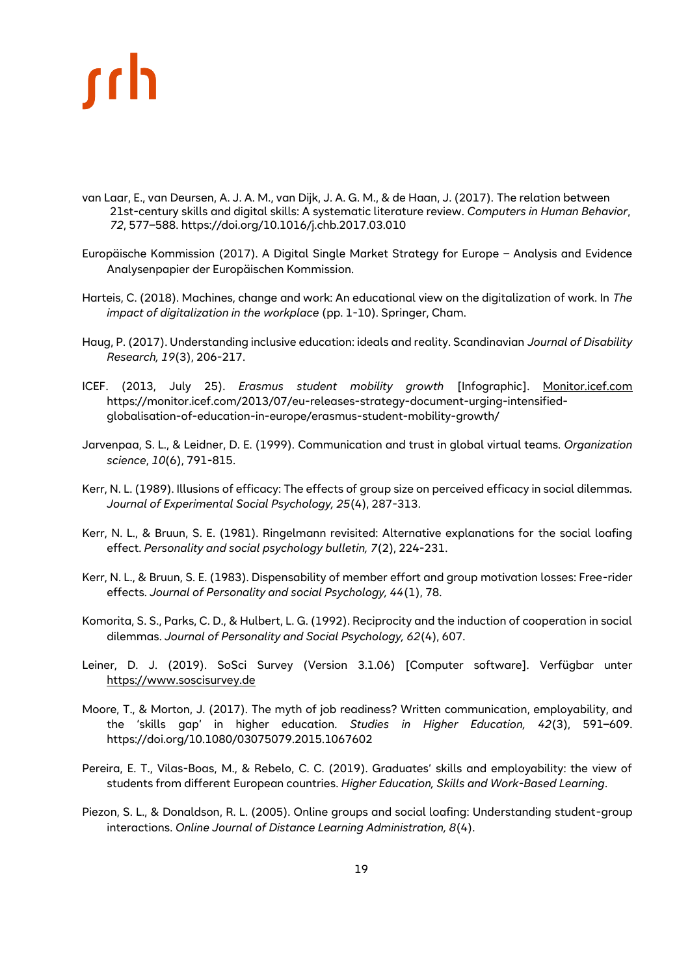- van Laar, E., van Deursen, A. J. A. M., van Dijk, J. A. G. M., & de Haan, J. (2017). The relation between 21st-century skills and digital skills: A systematic literature review. *Computers in Human Behavior*, *72*, 577–588. https://doi.org/10.1016/j.chb.2017.03.010
- Europäische Kommission (2017). A Digital Single Market Strategy for Europe Analysis and Evidence Analysenpapier der Europäischen Kommission.
- Harteis, C. (2018). Machines, change and work: An educational view on the digitalization of work. In *The impact of digitalization in the workplace* (pp. 1-10). Springer, Cham.
- Haug, P. (2017). Understanding inclusive education: ideals and reality. Scandinavian *Journal of Disability Research, 19*(3), 206-217.
- ICEF. (2013, July 25). *Erasmus student mobility growth* [Infographic]. [Monitor.icef.com](file:///C:/Users/PRELLRE/Desktop/Monitor.icef.com) https://monitor.icef.com/2013/07/eu-releases-strategy-document-urging-intensifiedglobalisation-of-education-in-europe/erasmus-student-mobility-growth/
- Jarvenpaa, S. L., & Leidner, D. E. (1999). Communication and trust in global virtual teams. *Organization science*, *10*(6), 791-815.
- Kerr, N. L. (1989). Illusions of efficacy: The effects of group size on perceived efficacy in social dilemmas. *Journal of Experimental Social Psychology, 25*(4), 287-313.
- Kerr, N. L., & Bruun, S. E. (1981). Ringelmann revisited: Alternative explanations for the social loafing effect. *Personality and social psychology bulletin, 7*(2), 224-231.
- Kerr, N. L., & Bruun, S. E. (1983). Dispensability of member effort and group motivation losses: Free-rider effects. *Journal of Personality and social Psychology, 44*(1), 78.
- Komorita, S. S., Parks, C. D., & Hulbert, L. G. (1992). Reciprocity and the induction of cooperation in social dilemmas. *Journal of Personality and Social Psychology, 62*(4), 607.
- Leiner, D. J. (2019). SoSci Survey (Version 3.1.06) [Computer software]. Verfügbar unter [https://www.soscisurvey.de](https://www.soscisurvey.de/)
- Moore, T., & Morton, J. (2017). The myth of job readiness? Written communication, employability, and the 'skills gap' in higher education. *Studies in Higher Education, 42*(3), 591–609. https://doi.org/10.1080/03075079.2015.1067602
- Pereira, E. T., Vilas-Boas, M., & Rebelo, C. C. (2019). Graduates' skills and employability: the view of students from different European countries. *Higher Education, Skills and Work-Based Learning*.
- Piezon, S. L., & Donaldson, R. L. (2005). Online groups and social loafing: Understanding student-group interactions. *Online Journal of Distance Learning Administration, 8*(4).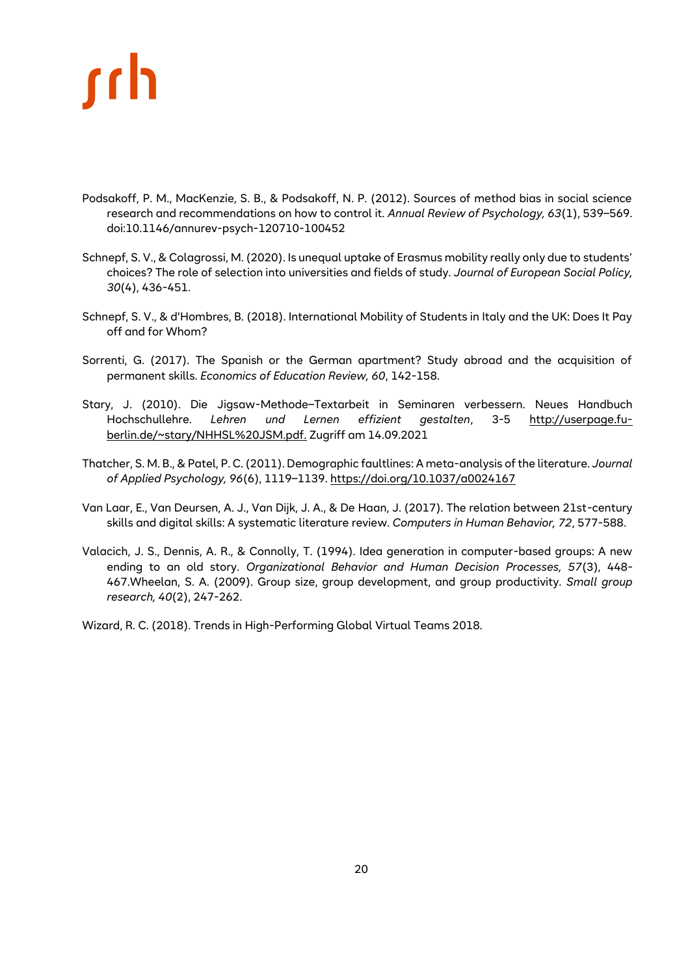- Podsakoff, P. M., MacKenzie, S. B., & Podsakoff, N. P. (2012). Sources of method bias in social science research and recommendations on how to control it. *Annual Review of Psychology, 63*(1), 539–569. doi:10.1146/annurev-psych-120710-100452
- Schnepf, S. V., & Colagrossi, M. (2020). Is unequal uptake of Erasmus mobility really only due to students' choices? The role of selection into universities and fields of study. *Journal of European Social Policy, 30*(4), 436-451.
- Schnepf, S. V., & d'Hombres, B. (2018). International Mobility of Students in Italy and the UK: Does It Pay off and for Whom?
- Sorrenti, G. (2017). The Spanish or the German apartment? Study abroad and the acquisition of permanent skills. *Economics of Education Review, 60*, 142-158.
- Stary, J. (2010). Die Jigsaw-Methode–Textarbeit in Seminaren verbessern. Neues Handbuch Hochschullehre. *Lehren und Lernen effizient gestalten*, 3-5 [http://userpage.fu](http://userpage.fu-berlin.de/~stary/NHHSL%20JSM.pdf)[berlin.de/~stary/NHHSL%20JSM.pdf.](http://userpage.fu-berlin.de/~stary/NHHSL%20JSM.pdf) Zugriff am 14.09.2021
- Thatcher, S. M. B., & Patel, P. C. (2011). Demographic faultlines: A meta-analysis of the literature. *Journal of Applied Psychology, 96*(6), 1119–1139.<https://doi.org/10.1037/a0024167>
- Van Laar, E., Van Deursen, A. J., Van Dijk, J. A., & De Haan, J. (2017). The relation between 21st-century skills and digital skills: A systematic literature review. *Computers in Human Behavior, 72*, 577-588.
- Valacich, J. S., Dennis, A. R., & Connolly, T. (1994). Idea generation in computer-based groups: A new ending to an old story. *Organizational Behavior and Human Decision Processes, 57*(3), 448- 467.Wheelan, S. A. (2009). Group size, group development, and group productivity. *Small group research, 40*(2), 247-262.

Wizard, R. C. (2018). Trends in High-Performing Global Virtual Teams 2018.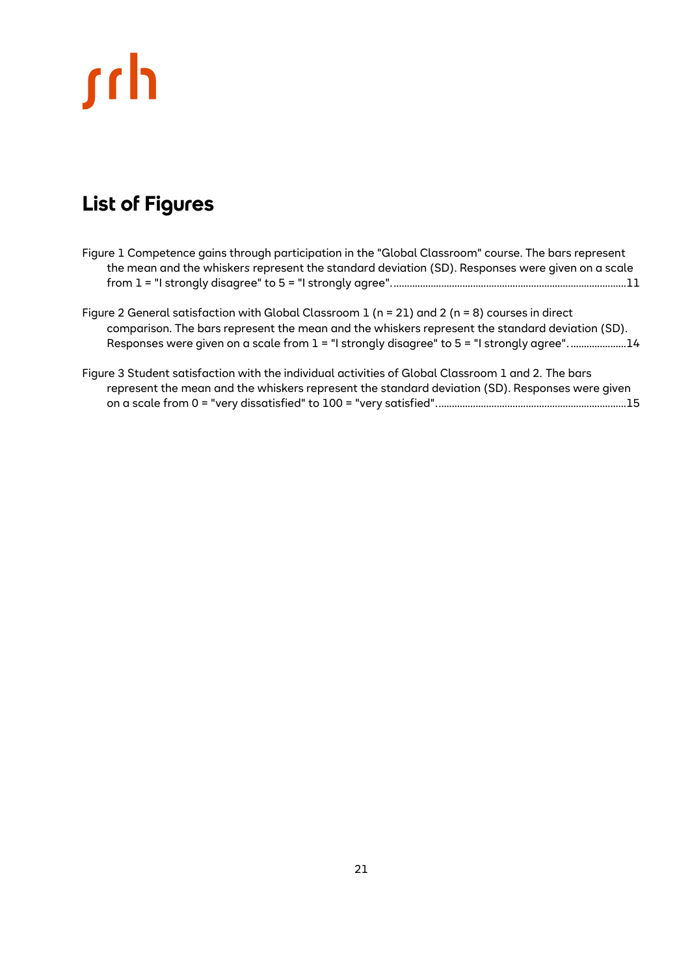# <u>rch</u>

## <span id="page-20-0"></span>**List of Figures**

- [Figure 1 Competence gains through participation in the "Global Classroom" course. The bars represent](#page-10-0)  the mean and the whisker*s* [represent the standard deviation \(SD\). Responses were given on a scale](#page-10-0)  [from 1 = "I strongly disagree" to 5 = "I strongly agree".........................................................................................11](#page-10-0)
- Figure 2 [General satisfaction with Global Classroom 1 \(n = 21\) and 2 \(n = 8\) courses in direct](#page-13-0)  [comparison. The bars represent the mean and the whiskers represent the standard deviation \(SD\).](#page-13-0)  [Responses were given on a scale from 1 = "I strongly disagree" to 5 = "I strongly agree".](#page-13-0)...................14
- [Figure 3 Student satisfaction with the individual activities of Global Classroom 1 and 2. The bars](#page-14-0)  [represent the mean and the whiskers represent the standard deviation \(SD\). Responses were given](#page-14-0)  [on a scale from 0 = "very dissatisfied" to 100 = "very satisfied"........................................................................15](#page-14-0)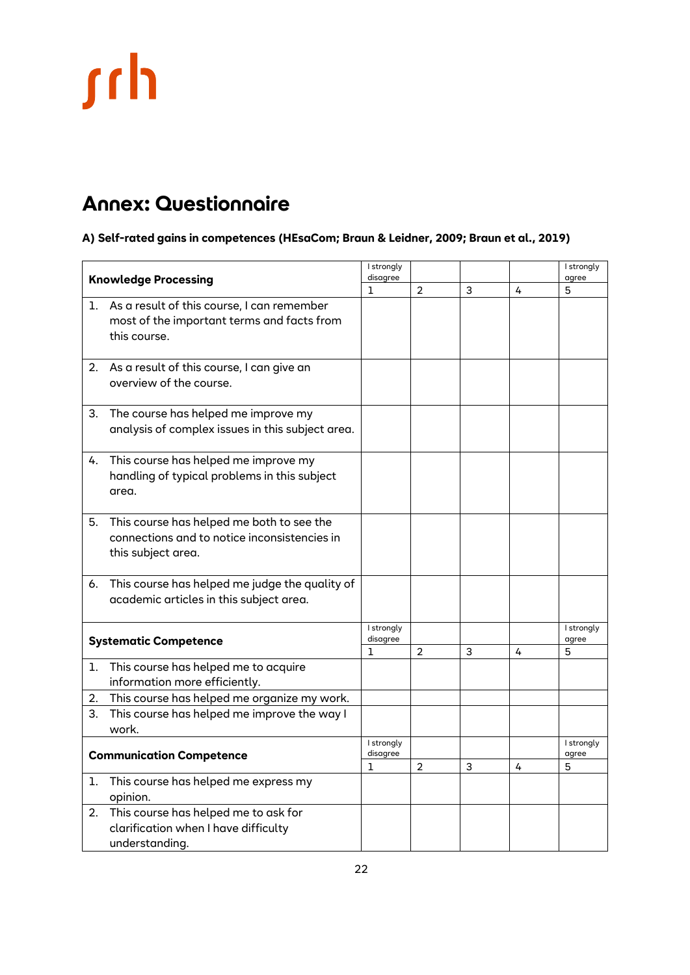# <span id="page-21-0"></span>**Annex: Questionnaire**

**A) Self-rated gains in competences (HEsaCom; Braun & Leidner, 2009; Braun et al., 2019)**

| <b>Knowledge Processing</b>     |                                                  | I strongly<br>disagree |   |   |   | I strongly<br>agree |
|---------------------------------|--------------------------------------------------|------------------------|---|---|---|---------------------|
|                                 |                                                  |                        | 2 | 3 | 4 | 5                   |
|                                 | 1. As a result of this course, I can remember    |                        |   |   |   |                     |
|                                 | most of the important terms and facts from       |                        |   |   |   |                     |
|                                 | this course.                                     |                        |   |   |   |                     |
|                                 |                                                  |                        |   |   |   |                     |
|                                 | 2. As a result of this course, I can give an     |                        |   |   |   |                     |
|                                 | overview of the course.                          |                        |   |   |   |                     |
|                                 |                                                  |                        |   |   |   |                     |
| 3.                              | The course has helped me improve my              |                        |   |   |   |                     |
|                                 | analysis of complex issues in this subject area. |                        |   |   |   |                     |
|                                 |                                                  |                        |   |   |   |                     |
| 4.                              | This course has helped me improve my             |                        |   |   |   |                     |
|                                 | handling of typical problems in this subject     |                        |   |   |   |                     |
|                                 | area.                                            |                        |   |   |   |                     |
|                                 |                                                  |                        |   |   |   |                     |
| 5.                              | This course has helped me both to see the        |                        |   |   |   |                     |
|                                 | connections and to notice inconsistencies in     |                        |   |   |   |                     |
|                                 | this subject area.                               |                        |   |   |   |                     |
|                                 |                                                  |                        |   |   |   |                     |
| 6.                              | This course has helped me judge the quality of   |                        |   |   |   |                     |
|                                 | academic articles in this subject area.          |                        |   |   |   |                     |
|                                 |                                                  |                        |   |   |   |                     |
|                                 |                                                  | I strongly             |   |   |   | I strongly          |
|                                 | <b>Systematic Competence</b>                     | disagree<br>1          | 2 | 3 | 4 | agree<br>5          |
| ı.                              | This course has helped me to acquire             |                        |   |   |   |                     |
|                                 | information more efficiently.                    |                        |   |   |   |                     |
| 2.                              | This course has helped me organize my work.      |                        |   |   |   |                     |
| З.                              | This course has helped me improve the way I      |                        |   |   |   |                     |
|                                 | work.                                            |                        |   |   |   |                     |
|                                 |                                                  | I strongly             |   |   |   | I strongly          |
| <b>Communication Competence</b> |                                                  | disagree               |   |   |   | agree               |
|                                 |                                                  | L                      | 2 | 3 | 4 | 5                   |
| ı.                              | This course has helped me express my             |                        |   |   |   |                     |
|                                 | opinion.                                         |                        |   |   |   |                     |
| 2.                              | This course has helped me to ask for             |                        |   |   |   |                     |
|                                 | clarification when I have difficulty             |                        |   |   |   |                     |
|                                 | understanding.                                   |                        |   |   |   |                     |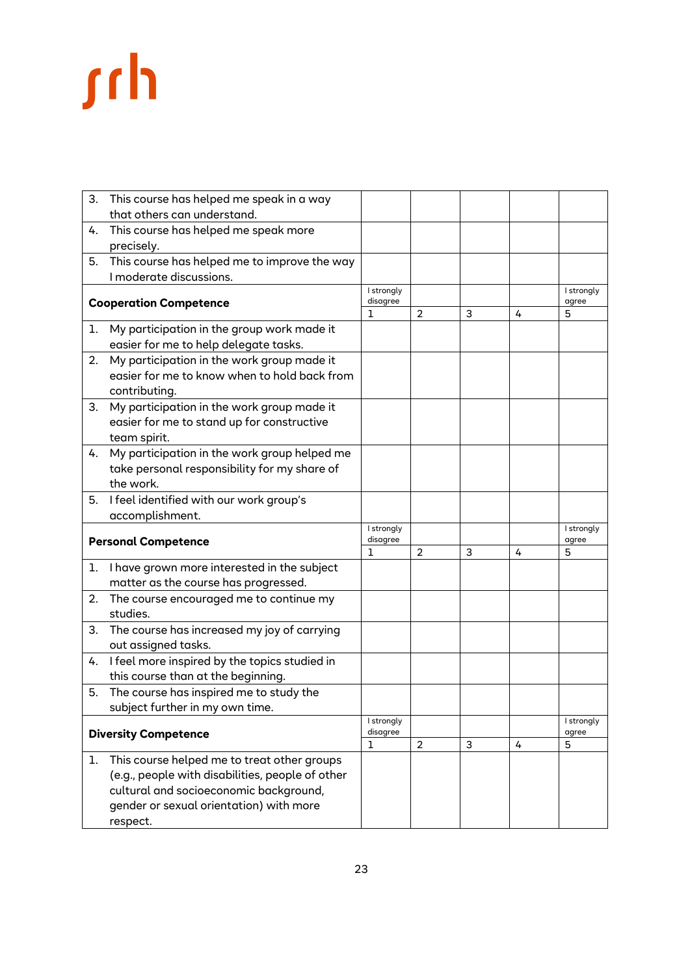| 3. | This course has helped me speak in a way                                            |               |                |                           |   |                     |
|----|-------------------------------------------------------------------------------------|---------------|----------------|---------------------------|---|---------------------|
|    | that others can understand.                                                         |               |                |                           |   |                     |
| 4. | This course has helped me speak more                                                |               |                |                           |   |                     |
|    | precisely.                                                                          |               |                |                           |   |                     |
| 5. | This course has helped me to improve the way                                        |               |                |                           |   |                     |
|    | I moderate discussions.                                                             |               |                |                           |   |                     |
|    |                                                                                     | I strongly    |                |                           |   | I strongly          |
|    | <b>Cooperation Competence</b>                                                       | disagree<br>1 | 2              | 3                         | 4 | agree<br>5          |
|    |                                                                                     |               |                |                           |   |                     |
| ı. | My participation in the group work made it<br>easier for me to help delegate tasks. |               |                |                           |   |                     |
|    |                                                                                     |               |                |                           |   |                     |
| 2. | My participation in the work group made it                                          |               |                |                           |   |                     |
|    | easier for me to know when to hold back from                                        |               |                |                           |   |                     |
|    | contributing.                                                                       |               |                |                           |   |                     |
| 3. | My participation in the work group made it                                          |               |                |                           |   |                     |
|    | easier for me to stand up for constructive                                          |               |                |                           |   |                     |
|    | team spirit.                                                                        |               |                |                           |   |                     |
| 4. | My participation in the work group helped me                                        |               |                |                           |   |                     |
|    | take personal responsibility for my share of                                        |               |                |                           |   |                     |
|    | the work.                                                                           |               |                |                           |   |                     |
| 5. | I feel identified with our work group's                                             |               |                |                           |   |                     |
|    | accomplishment.                                                                     |               |                |                           |   |                     |
|    |                                                                                     |               |                |                           |   | I strongly<br>agree |
|    | <b>Personal Competence</b>                                                          | disagree<br>1 | 2              | 3                         | 4 | 5                   |
| 1. | I have grown more interested in the subject                                         |               |                |                           |   |                     |
|    | matter as the course has progressed.                                                |               |                |                           |   |                     |
| 2. | The course encouraged me to continue my                                             |               |                |                           |   |                     |
|    | studies.                                                                            |               |                |                           |   |                     |
| 3. | The course has increased my joy of carrying                                         |               |                |                           |   |                     |
|    | out assigned tasks.                                                                 |               |                |                           |   |                     |
| 4. | I feel more inspired by the topics studied in                                       |               |                |                           |   |                     |
|    | this course than at the beginning.                                                  |               |                |                           |   |                     |
| 5. | The course has inspired me to study the                                             |               |                |                           |   |                     |
|    | subject further in my own time.                                                     |               |                |                           |   |                     |
|    |                                                                                     | I strongly    |                |                           |   | I strongly          |
|    | <b>Diversity Competence</b>                                                         | disagree      |                |                           |   | agree               |
|    |                                                                                     | 1             | $\overline{c}$ | $\ensuremath{\mathsf{3}}$ | 4 | 5                   |
| 1. | This course helped me to treat other groups                                         |               |                |                           |   |                     |
|    | (e.g., people with disabilities, people of other                                    |               |                |                           |   |                     |
|    | cultural and socioeconomic background,                                              |               |                |                           |   |                     |
|    | gender or sexual orientation) with more                                             |               |                |                           |   |                     |
|    | respect.                                                                            |               |                |                           |   |                     |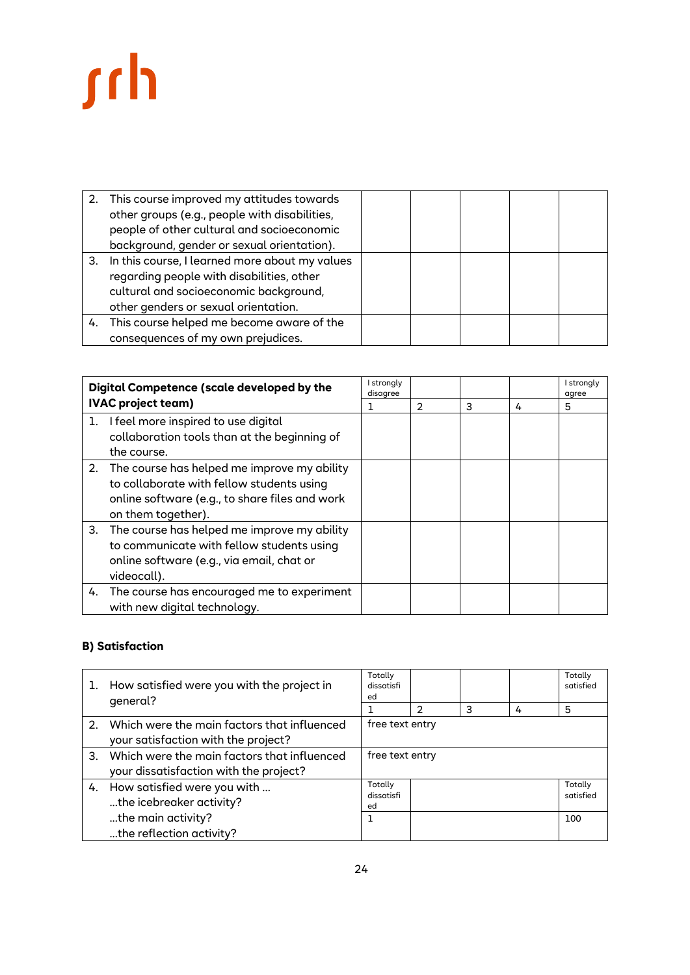|    | 2. This course improved my attitudes towards<br>other groups (e.g., people with disabilities,<br>people of other cultural and socioeconomic<br>background, gender or sexual orientation). |  |  |  |
|----|-------------------------------------------------------------------------------------------------------------------------------------------------------------------------------------------|--|--|--|
| 3. | In this course, I learned more about my values<br>regarding people with disabilities, other<br>cultural and socioeconomic background,<br>other genders or sexual orientation.             |  |  |  |
| 4. | This course helped me become aware of the<br>consequences of my own prejudices.                                                                                                           |  |  |  |

| Digital Competence (scale developed by the |                                                                                                                                                                     | I strongly<br>disagree |               |   |   | I strongly<br>agree |
|--------------------------------------------|---------------------------------------------------------------------------------------------------------------------------------------------------------------------|------------------------|---------------|---|---|---------------------|
|                                            | <b>IVAC project team)</b>                                                                                                                                           |                        | $\mathcal{P}$ | 3 | 4 | 5                   |
| ı.                                         | I feel more inspired to use digital<br>collaboration tools than at the beginning of<br>the course.                                                                  |                        |               |   |   |                     |
|                                            | 2. The course has helped me improve my ability<br>to collaborate with fellow students using<br>online software (e.g., to share files and work<br>on them together). |                        |               |   |   |                     |
| 3.                                         | The course has helped me improve my ability<br>to communicate with fellow students using<br>online software (e.g., via email, chat or<br>videocall).                |                        |               |   |   |                     |
|                                            | 4. The course has encouraged me to experiment<br>with new digital technology.                                                                                       |                        |               |   |   |                     |

## **B) Satisfaction**

| ı.            | How satisfied were you with the project in<br>general?                                | Totally<br>dissatisfi<br>ed |               |   |   | Totally<br>satisfied |
|---------------|---------------------------------------------------------------------------------------|-----------------------------|---------------|---|---|----------------------|
|               |                                                                                       |                             | $\mathcal{P}$ | 3 | 4 | 5                    |
|               | 2. Which were the main factors that influenced<br>your satisfaction with the project? | free text entry             |               |   |   |                      |
| $\mathcal{B}$ | Which were the main factors that influenced<br>your dissatisfaction with the project? | free text entry             |               |   |   |                      |
|               | 4. How satisfied were you with<br>the icebreaker activity?                            | Totally<br>dissatisfi<br>ed |               |   |   | Totally<br>satisfied |
|               | the main activity?<br>the reflection activity?                                        |                             |               |   |   | 100                  |